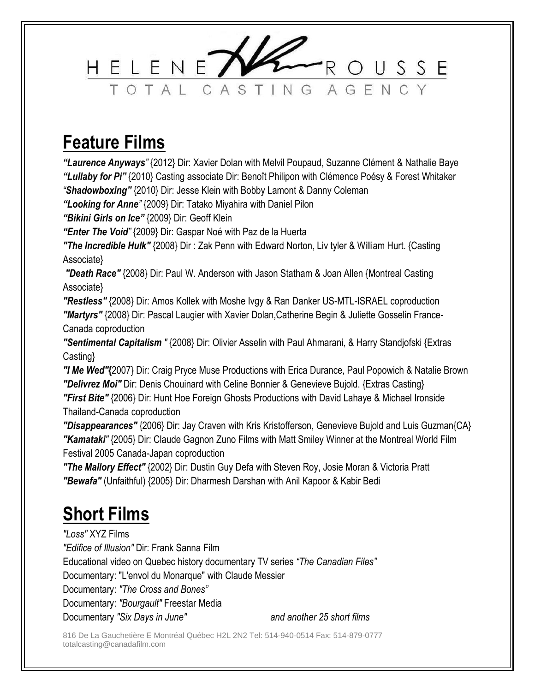

## **Feature Films**

*"Laurence Anyways"* {2012} Dir: Xavier Dolan with Melvil Poupaud, Suzanne Clément & Nathalie Baye *"Lullaby for Pi"* {2010} Casting associate Dir: Benoît Philipon with Clémence Poésy & Forest Whitaker *"Shadowboxing"* {2010} Dir: Jesse Klein with Bobby Lamont & Danny Coleman

*"Looking for Anne"* {2009} Dir: Tatako Miyahira with Daniel Pilon

*"Bikini Girls on Ice"* {2009} Dir: Geoff Klein

*"Enter The Void"* {2009} Dir: Gaspar Noé with Paz de la Huerta

*"The Incredible Hulk"* {2008} Dir : Zak Penn with Edward Norton, Liv tyler & William Hurt. {Casting Associate}

*"Death Race"* {2008} Dir: Paul W. Anderson with Jason Statham & Joan Allen {Montreal Casting Associate}

*"Restless"* {2008} Dir: Amos Kollek with Moshe Ivgy & Ran Danker US-MTL-ISRAEL coproduction *"Martyrs"* {2008} Dir: Pascal Laugier with Xavier Dolan,Catherine Begin & Juliette Gosselin France-Canada coproduction

*"Sentimental Capitalism "* {2008} Dir: Olivier Asselin with Paul Ahmarani, & Harry Standjofski {Extras Casting}

*"I Me Wed"***{**2007} Dir: Craig Pryce Muse Productions with Erica Durance, Paul Popowich & Natalie Brown *"Delivrez Moi"* Dir: Denis Chouinard with Celine Bonnier & Genevieve Bujold. {Extras Casting} *"First Bite"* {2006} Dir: Hunt Hoe Foreign Ghosts Productions with David Lahaye & Michael Ironside Thailand-Canada coproduction

*"Disappearances"* {2006} Dir: Jay Craven with Kris Kristofferson, Genevieve Bujold and Luis Guzman{CA} *"Kamataki"* {2005} Dir: Claude Gagnon Zuno Films with Matt Smiley Winner at the Montreal World Film Festival 2005 Canada-Japan coproduction

*"The Mallory Effect"* {2002} Dir: Dustin Guy Defa with Steven Roy, Josie Moran & Victoria Pratt *"Bewafa"* (Unfaithful) {2005} Dir: Dharmesh Darshan with Anil Kapoor & Kabir Bedi

# **Short Films**

*"Loss"* XYZ Films

*"Edifice of Illusion"* Dir: Frank Sanna Film

Educational video on Quebec history documentary TV series *"The Canadian Files"*

Documentary: "L'envol du Monarque" with Claude Messier

Documentary: *"The Cross and Bones"*

Documentary: *"Bourgault"* Freestar Media

Documentary *"Six Days in June" and another 25 short films*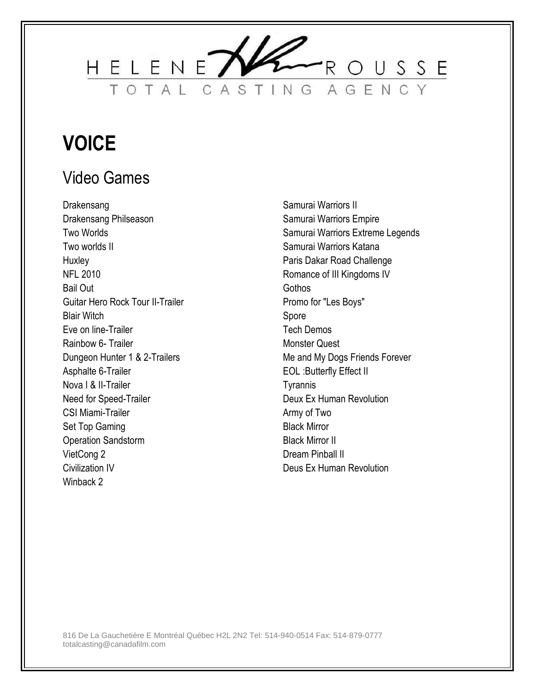

# **VOICE**

#### Video Games

Drakensang Drakensang Philseason Two Worlds Two worlds II **Huxley** NFL 2010 Bail Out Guitar Hero Rock Tour II-Trailer Blair Witch Eve on line-Trailer Rainbow 6- Trailer Dungeon Hunter 1 & 2-Trailers Asphalte 6-Trailer Nova I & II-Trailer Need for Speed-Trailer CSI Miami-Trailer Set Top Gaming Operation Sandstorm VietCong 2 Civilization IV Winback 2

Samurai Warriors II Samurai Warriors Empire Samurai Warriors Extreme Legends Samurai Warriors Katana Paris Dakar Road Challenge Romance of III Kingdoms IV **Gothos** Promo for "Les Boys" Spore Tech Demos Monster Quest Me and My Dogs Friends Forever EOL :Butterfly Effect II **Tyrannis** Deux Ex Human Revolution Army of Two Black Mirror Black Mirror II Dream Pinball II Deus Ex Human Revolution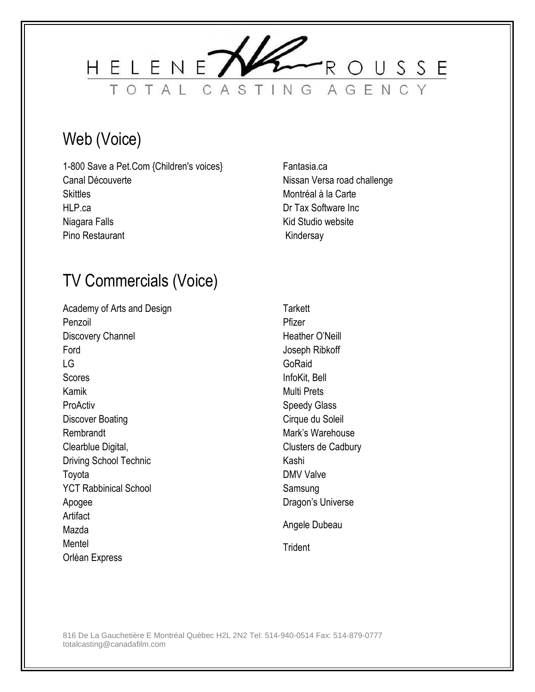

#### Web (Voice)

- 1-800 Save a Pet.Com {Children's voices} Canal Découverte **Skittles** HLP.ca Niagara Falls Pino Restaurant
- Fantasia.ca Nissan Versa road challenge Montréal à la Carte Dr Tax Software Inc Kid Studio website Kindersay

#### TV Commercials (Voice)

Academy of Arts and Design Penzoil Discovery Channel Ford LG **Scores** Kamik ProActiv Discover Boating Rembrandt Clearblue Digital, Driving School Technic Toyota YCT Rabbinical School Apogee **Artifact** Mazda Mentel Orléan Express

**Tarkett** Pfizer Heather O'Neill Joseph Ribkoff **GoRaid** InfoKit, Bell Multi Prets Speedy Glass Cirque du Soleil Mark's Warehouse Clusters de Cadbury Kashi DMV Valve Samsung Dragon's Universe Angele Dubeau

**Trident**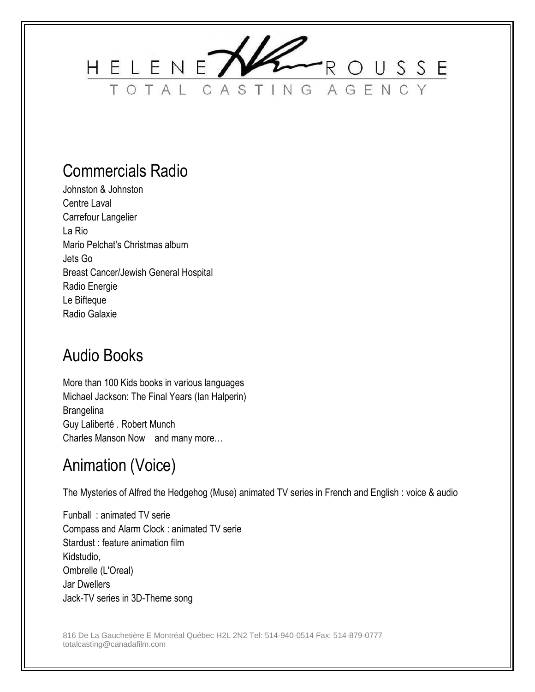

#### Commercials Radio

Johnston & Johnston Centre Laval Carrefour Langelier La Rio Mario Pelchat's Christmas album Jets Go Breast Cancer/Jewish General Hospital Radio Energie Le Bifteque Radio Galaxie

#### Audio Books

More than 100 Kids books in various languages Michael Jackson: The Final Years (Ian Halperin) **Brangelina** Guy Laliberté . Robert Munch Charles Manson Now and many more…

#### Animation (Voice)

The Mysteries of Alfred the Hedgehog (Muse) animated TV series in French and English : voice & audio

Funball : animated TV serie Compass and Alarm Clock : animated TV serie Stardust : feature animation film Kidstudio, Ombrelle (L'Oreal) Jar Dwellers Jack-TV series in 3D-Theme song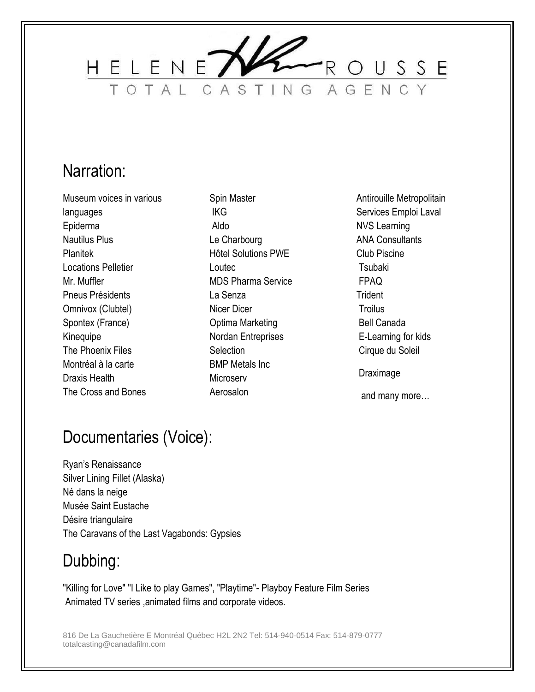

#### Narration:

Museum voices in various languages Epiderma Nautilus Plus Planitek Locations Pelletier Mr. Muffler Pneus Présidents Omnivox (Clubtel) Spontex (France) **Kinequipe** The Phoenix Files Montréal à la carte Draxis Health The Cross and Bones

Spin Master IKG Aldo Le Charbourg Hôtel Solutions PWE Loutec MDS Pharma Service La Senza Nicer Dicer Optima Marketing Nordan Entreprises **Selection** BMP Metals Inc **Microserv** Aerosalon

Antirouille Metropolitain Services Emploi Laval NVS Learning ANA Consultants Club Piscine **Tsubaki** FPAQ **Trident Troilus** Bell Canada E-Learning for kids Cirque du Soleil Draximage

and many more…

#### Documentaries (Voice):

Ryan's Renaissance Silver Lining Fillet (Alaska) Né dans la neige Musée Saint Eustache Désire triangulaire The Caravans of the Last Vagabonds: Gypsies

#### Dubbing:

"Killing for Love" "I Like to play Games", "Playtime"- Playboy Feature Film Series Animated TV series ,animated films and corporate videos.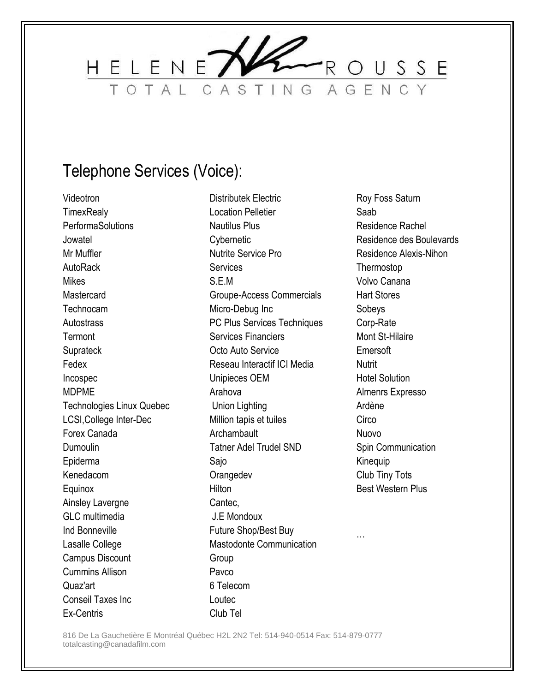

#### Telephone Services (Voice):

Videotron **TimexRealy PerformaSolutions Jowatel** Mr Muffler AutoRack Mikes **Mastercard** Technocam **Autostrass Termont Suprateck** Fedex Incospec MDPME Technologies Linux Quebec LCSI,College Inter-Dec Forex Canada Dumoulin Epiderma Kenedacom **Equinox** Ainsley Lavergne GLC multimedia Ind Bonneville Lasalle College Campus Discount Cummins Allison Quaz'art Conseil Taxes Inc Ex-Centris

Distributek Electric Location Pelletier Nautilus Plus **Cybernetic** Nutrite Service Pro **Services** S.E.M Groupe-Access Commercials Micro-Debug Inc PC Plus Services Techniques Services Financiers Octo Auto Service Reseau Interactif ICI Media Unipieces OEM Arahova Union Lighting Million tapis et tuiles **Archambault** Tatner Adel Trudel SND Sajo **Orangedev** Hilton Cantec, J.E Mondoux Future Shop/Best Buy Mastodonte Communication **Group** Pavco 6 Telecom Loutec Club Tel

Roy Foss Saturn Saab Residence Rachel Residence des Boulevards Residence Alexis-Nihon Thermostop Volvo Canana Hart Stores Sobeys Corp-Rate Mont St-Hilaire Emersoft **Nutrit** Hotel Solution Almenrs Expresso Ardène **Circo** Nuovo Spin Communication Kinequip Club Tiny Tots Best Western Plus

…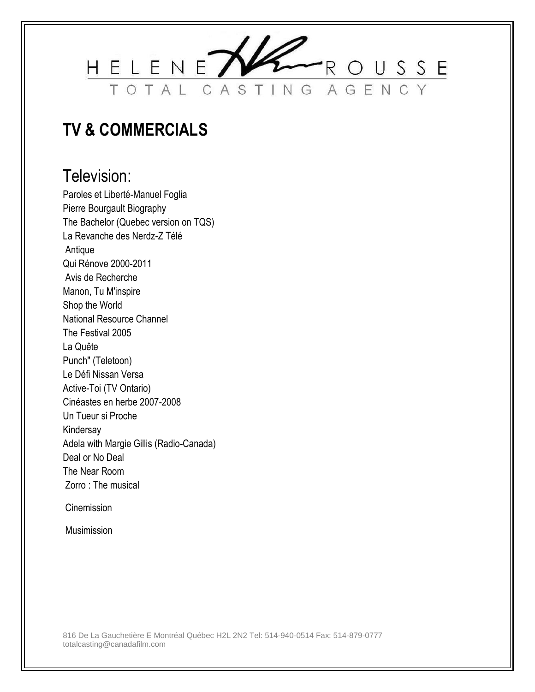

#### **TV & COMMERCIALS**

#### Television:

Paroles et Liberté-Manuel Foglia Pierre Bourgault Biography The Bachelor (Quebec version on TQS) La Revanche des Nerdz-Z Télé Antique Qui Rénove 2000-2011 Avis de Recherche Manon, Tu M'inspire Shop the World National Resource Channel The Festival 2005 La Quête Punch" (Teletoon) Le Défi Nissan Versa Active-Toi (TV Ontario) Cinéastes en herbe 2007-2008 Un Tueur si Proche Kindersay Adela with Margie Gillis (Radio-Canada) Deal or No Deal The Near Room Zorro : The musical

**Cinemission** 

Musimission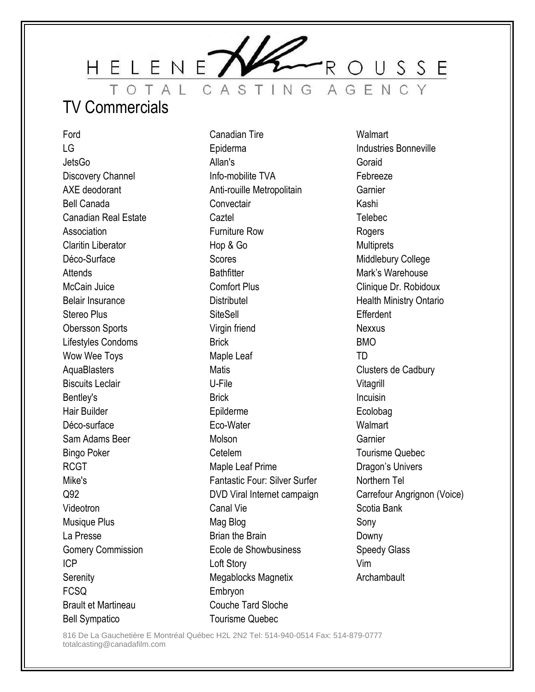ROUSSE HELENET TOTAL CASTING AGENC

#### TV Commercials

Ford LG **JetsGo** Discovery Channel AXE deodorant Bell Canada Canadian Real Estate Association Claritin Liberator Déco-Surface Attends McCain Juice Belair Insurance Stereo Plus Obersson Sports Lifestyles Condoms Wow Wee Toys **AquaBlasters** Biscuits Leclair Bentley's Hair Builder Déco-surface Sam Adams Beer Bingo Poker RCGT Mike's Q92 Videotron Musique Plus La Presse Gomery Commission ICP **Serenity** FCSQ Brault et Martineau Bell Sympatico

Canadian Tire Epiderma Allan's Info-mobilite TVA Anti-rouille Metropolitain **Convectair Caztel** Furniture Row Hop & Go Scores **Bathfitter** Comfort Plus **Distributel SiteSell** Virgin friend **Brick** Maple Leaf **Matis** U-File Brick Epilderme Eco-Water Molson Cetelem Maple Leaf Prime Fantastic Four: Silver Surfer DVD Viral Internet campaign Canal Vie Mag Blog Brian the Brain Ecole de Showbusiness Loft Story Megablocks Magnetix Embryon Couche Tard Sloche Tourisme Quebec

**Walmart** Industries Bonneville Goraid Febreeze **Garnier** Kashi **Telebec Rogers Multiprets** Middlebury College Mark's Warehouse Clinique Dr. Robidoux Health Ministry Ontario Efferdent Nexxus BMO TD Clusters de Cadbury Vitagrill Incuisin Ecolobag **Walmart Garnier** Tourisme Quebec Dragon's Univers Northern Tel Carrefour Angrignon (Voice) Scotia Bank Sony Downy Speedy Glass Vim **Archambault**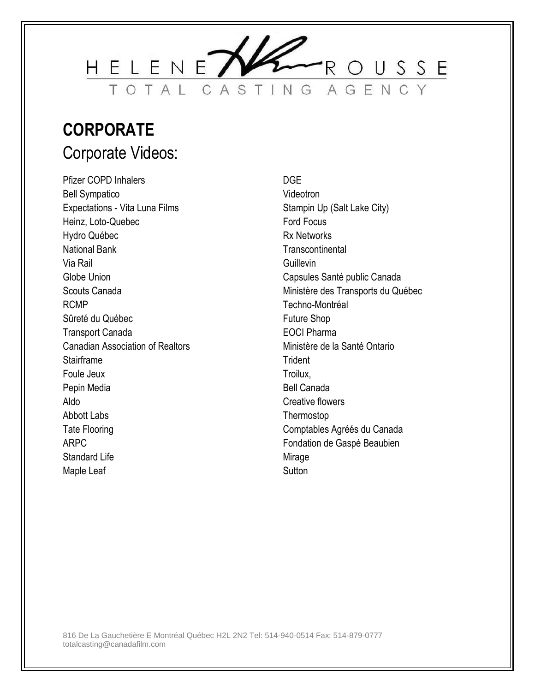

#### **CORPORATE** Corporate Videos:

Pfizer COPD Inhalers Bell Sympatico Expectations - Vita Luna Films Heinz, Loto-Quebec Hydro Québec National Bank Via Rail Globe Union Scouts Canada RCMP Sûreté du Québec Transport Canada Canadian Association of Realtors Stairframe Foule Jeux Pepin Media Aldo Abbott Labs Tate Flooring ARPC Standard Life Maple Leaf

#### DGE

Videotron Stampin Up (Salt Lake City) Ford Focus Rx Networks **Transcontinental** Guillevin Capsules Santé public Canada Ministère des Transports du Québec Techno-Montréal Future Shop EOCI Pharma Ministère de la Santé Ontario **Trident** Troilux, Bell Canada Creative flowers Thermostop Comptables Agréés du Canada Fondation de Gaspé Beaubien Mirage **Sutton**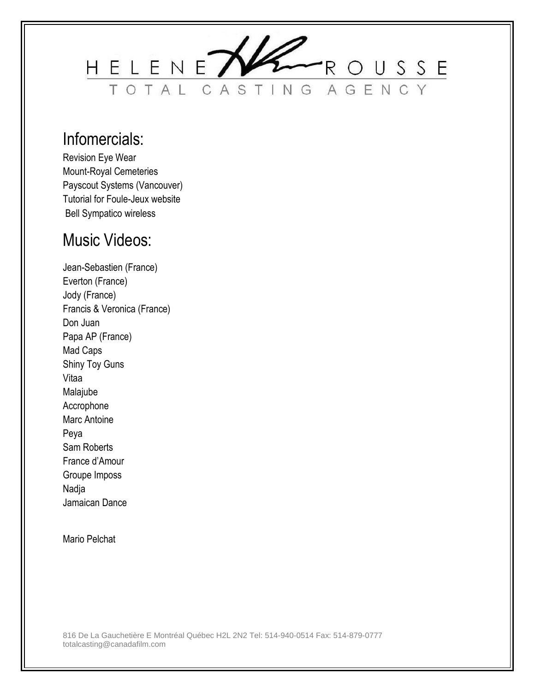

#### Infomercials:

Revision Eye Wear Mount-Royal Cemeteries Payscout Systems (Vancouver) Tutorial for Foule-Jeux website Bell Sympatico wireless

#### Music Videos:

Jean-Sebastien (France) Everton (France) Jody (France) Francis & Veronica (France) Don Juan Papa AP (France) Mad Caps Shiny Toy Guns Vitaa Malajube Accrophone Marc Antoine Peya Sam Roberts France d'Amour Groupe Imposs Nadja Jamaican Dance

Mario Pelchat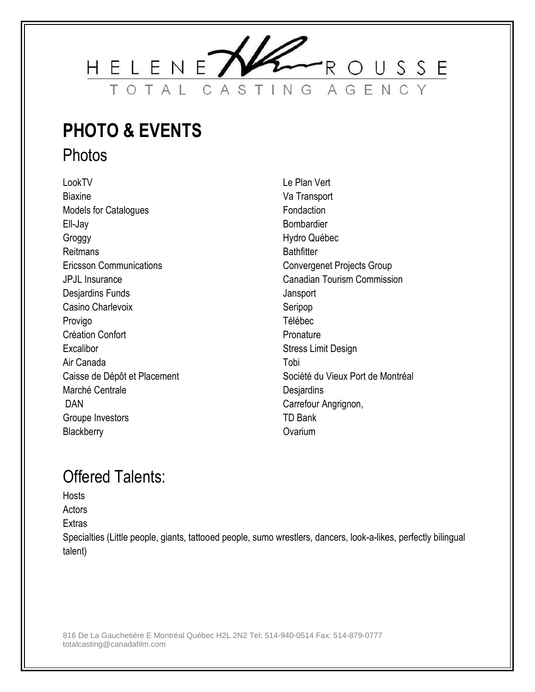

# **PHOTO & EVENTS**

**Photos** 

LookTV **Biaxine** Models for Catalogues Ell-Jay Groggy Reitmans Ericsson Communications JPJL Insurance Desjardins Funds Casino Charlevoix Provigo Création Confort **Excalibor** Air Canada Caisse de Dépôt et Placement Marché Centrale DAN Groupe Investors **Blackberry** 

Le Plan Vert Va Transport Fondaction Bombardier Hydro Québec **Bathfitter** Convergenet Projects Group Canadian Tourism Commission **Jansport** Seripop Télébec Pronature Stress Limit Design Tobi Société du Vieux Port de Montréal **Desjardins** Carrefour Angrignon, TD Bank **Ovarium** 

#### Offered Talents:

**Hosts** 

**Actors** 

**Extras** 

Specialties (Little people, giants, tattooed people, sumo wrestlers, dancers, look-a-likes, perfectly bilingual talent)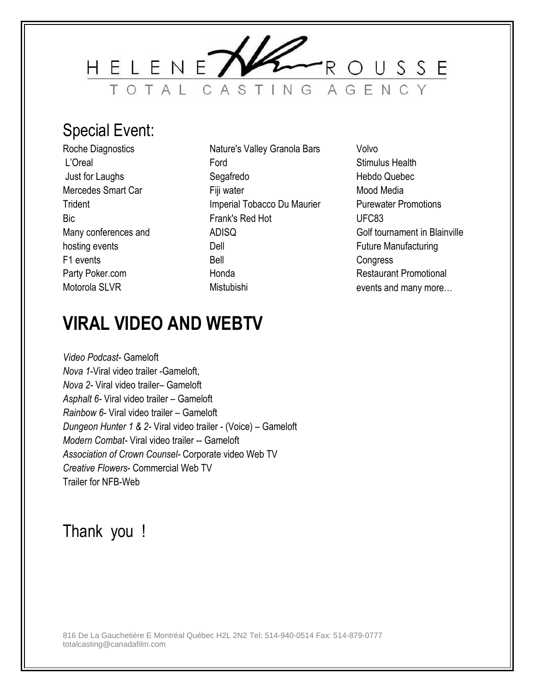

#### Special Event:

Roche Diagnostics L'Oreal Just for Laughs Mercedes Smart Car **Trident** Bic Many conferences and hosting events F1 events Party Poker.com Motorola SLVR

- Nature's Valley Granola Bars Ford Segafredo Fiji water Imperial Tobacco Du Maurier Frank's Red Hot ADISQ Dell Bell Honda Mistubishi
- Volvo Stimulus Health Hebdo Quebec Mood Media Purewater Promotions UFC83 Golf tournament in Blainville Future Manufacturing **Congress** Restaurant Promotional events and many more…

### **VIRAL VIDEO AND WEBTV**

*Video Podcast*- Gameloft *Nova 1-*Viral video trailer -Gameloft, *Nova 2-* Viral video trailer– Gameloft *Asphalt 6-* Viral video trailer – Gameloft *Rainbow 6*- Viral video trailer – Gameloft *Dungeon Hunter 1 & 2-* Viral video trailer - (Voice) – Gameloft *Modern Combat-* Viral video trailer -- Gameloft *Association of Crown Counsel-* Corporate video Web TV *Creative Flowers*- Commercial Web TV Trailer for NFB-Web

#### Thank you !